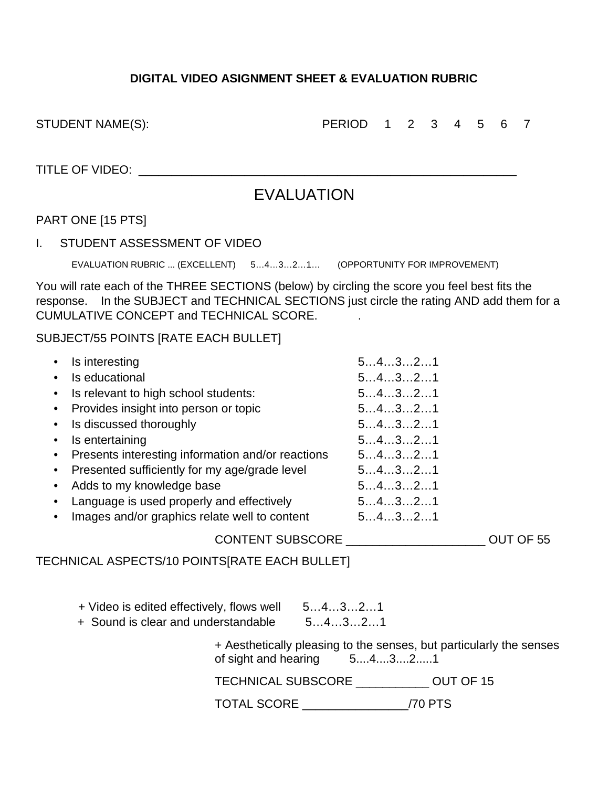## **DIGITAL VIDEO ASIGNMENT SHEET & EVALUATION RUBRIC**

STUDENT NAME(S):  $\begin{array}{cccccccccccccc} \text{PERIOD} & 1 & 2 & 3 & 4 & 5 & 6 & 7 \end{array}$ 

TITLE OF VIDEO: \_\_\_\_\_\_\_\_\_\_\_\_\_\_\_\_\_\_\_\_\_\_\_\_\_\_\_\_\_\_\_\_\_\_\_\_\_\_\_\_\_\_\_\_\_\_\_\_\_\_\_\_\_\_\_\_\_

## EVALUATION

## PART ONE [15 PTS]

I. STUDENT ASSESSMENT OF VIDEO

EVALUATION RUBRIC ... (EXCELLENT) 5…4…3…2…1… (OPPORTUNITY FOR IMPROVEMENT)

You will rate each of the THREE SECTIONS (below) by circling the score you feel best fits the response. In the SUBJECT and TECHNICAL SECTIONS just circle the rating AND add them for a CUMULATIVE CONCEPT and TECHNICAL SCORE. .

## SUBJECT/55 POINTS [RATE EACH BULLET]

|           | Is interesting                                      | 54321 |           |
|-----------|-----------------------------------------------------|-------|-----------|
|           | Is educational                                      | 54321 |           |
| $\bullet$ | Is relevant to high school students:                | 54321 |           |
|           | • Provides insight into person or topic             | 54321 |           |
| $\bullet$ | Is discussed thoroughly                             | 54321 |           |
| $\bullet$ | Is entertaining                                     | 54321 |           |
|           | • Presents interesting information and/or reactions | 54321 |           |
|           | • Presented sufficiently for my age/grade level     | 54321 |           |
|           | Adds to my knowledge base                           | 54321 |           |
|           | Language is used properly and effectively           | 54321 |           |
|           | Images and/or graphics relate well to content       | 54321 |           |
|           | <b>CONTENT SUBSCORE</b>                             |       | OUT OF 55 |

TECHNICAL ASPECTS/10 POINTS[RATE EACH BULLET]

- + Video is edited effectively, flows well 5…4…3…2…1
- + Sound is clear and understandable 5…4…3…2…1

+ Aesthetically pleasing to the senses, but particularly the senses of sight and hearing 5....4....3....2.....1

TECHNICAL SUBSCORE \_\_\_\_\_\_\_\_\_\_\_ OUT OF 15

TOTAL SCORE \_\_\_\_\_\_\_\_\_\_\_\_\_\_\_\_/70 PTS